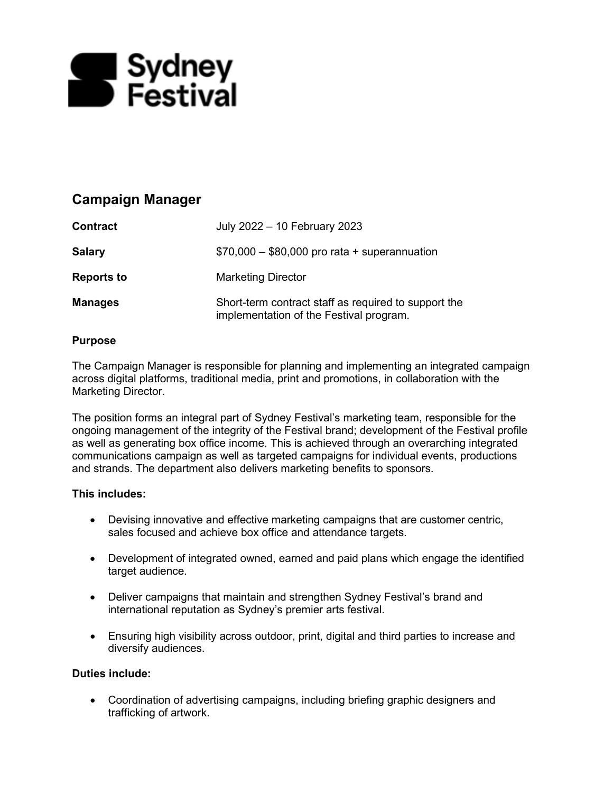

# **Campaign Manager**

| <b>Contract</b>   | July 2022 - 10 February 2023                                                                    |
|-------------------|-------------------------------------------------------------------------------------------------|
| <b>Salary</b>     | $$70,000 - $80,000$ pro rata + superannuation                                                   |
| <b>Reports to</b> | <b>Marketing Director</b>                                                                       |
| <b>Manages</b>    | Short-term contract staff as required to support the<br>implementation of the Festival program. |

### **Purpose**

The Campaign Manager is responsible for planning and implementing an integrated campaign across digital platforms, traditional media, print and promotions, in collaboration with the Marketing Director.

The position forms an integral part of Sydney Festival's marketing team, responsible for the ongoing management of the integrity of the Festival brand; development of the Festival profile as well as generating box office income. This is achieved through an overarching integrated communications campaign as well as targeted campaigns for individual events, productions and strands. The department also delivers marketing benefits to sponsors.

### **This includes:**

- Devising innovative and effective marketing campaigns that are customer centric, sales focused and achieve box office and attendance targets.
- Development of integrated owned, earned and paid plans which engage the identified target audience.
- Deliver campaigns that maintain and strengthen Sydney Festival's brand and international reputation as Sydney's premier arts festival.
- Ensuring high visibility across outdoor, print, digital and third parties to increase and diversify audiences.

### **Duties include:**

• Coordination of advertising campaigns, including briefing graphic designers and trafficking of artwork.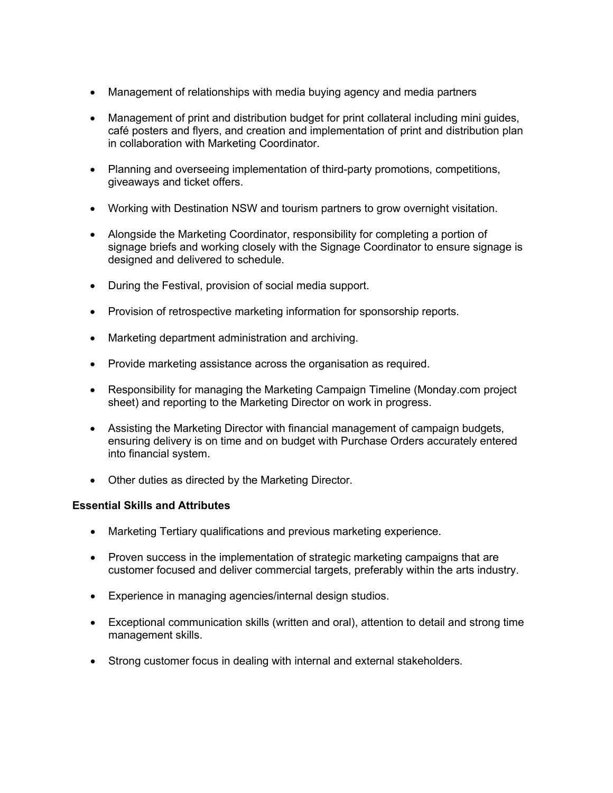- Management of relationships with media buying agency and media partners
- Management of print and distribution budget for print collateral including mini guides, café posters and flyers, and creation and implementation of print and distribution plan in collaboration with Marketing Coordinator.
- Planning and overseeing implementation of third-party promotions, competitions, giveaways and ticket offers.
- Working with Destination NSW and tourism partners to grow overnight visitation.
- Alongside the Marketing Coordinator, responsibility for completing a portion of signage briefs and working closely with the Signage Coordinator to ensure signage is designed and delivered to schedule.
- During the Festival, provision of social media support.
- Provision of retrospective marketing information for sponsorship reports.
- Marketing department administration and archiving.
- Provide marketing assistance across the organisation as required.
- Responsibility for managing the Marketing Campaign Timeline (Monday.com project sheet) and reporting to the Marketing Director on work in progress.
- Assisting the Marketing Director with financial management of campaign budgets, ensuring delivery is on time and on budget with Purchase Orders accurately entered into financial system.
- Other duties as directed by the Marketing Director.

### **Essential Skills and Attributes**

- Marketing Tertiary qualifications and previous marketing experience.
- Proven success in the implementation of strategic marketing campaigns that are customer focused and deliver commercial targets, preferably within the arts industry.
- Experience in managing agencies/internal design studios.
- Exceptional communication skills (written and oral), attention to detail and strong time management skills.
- Strong customer focus in dealing with internal and external stakeholders.